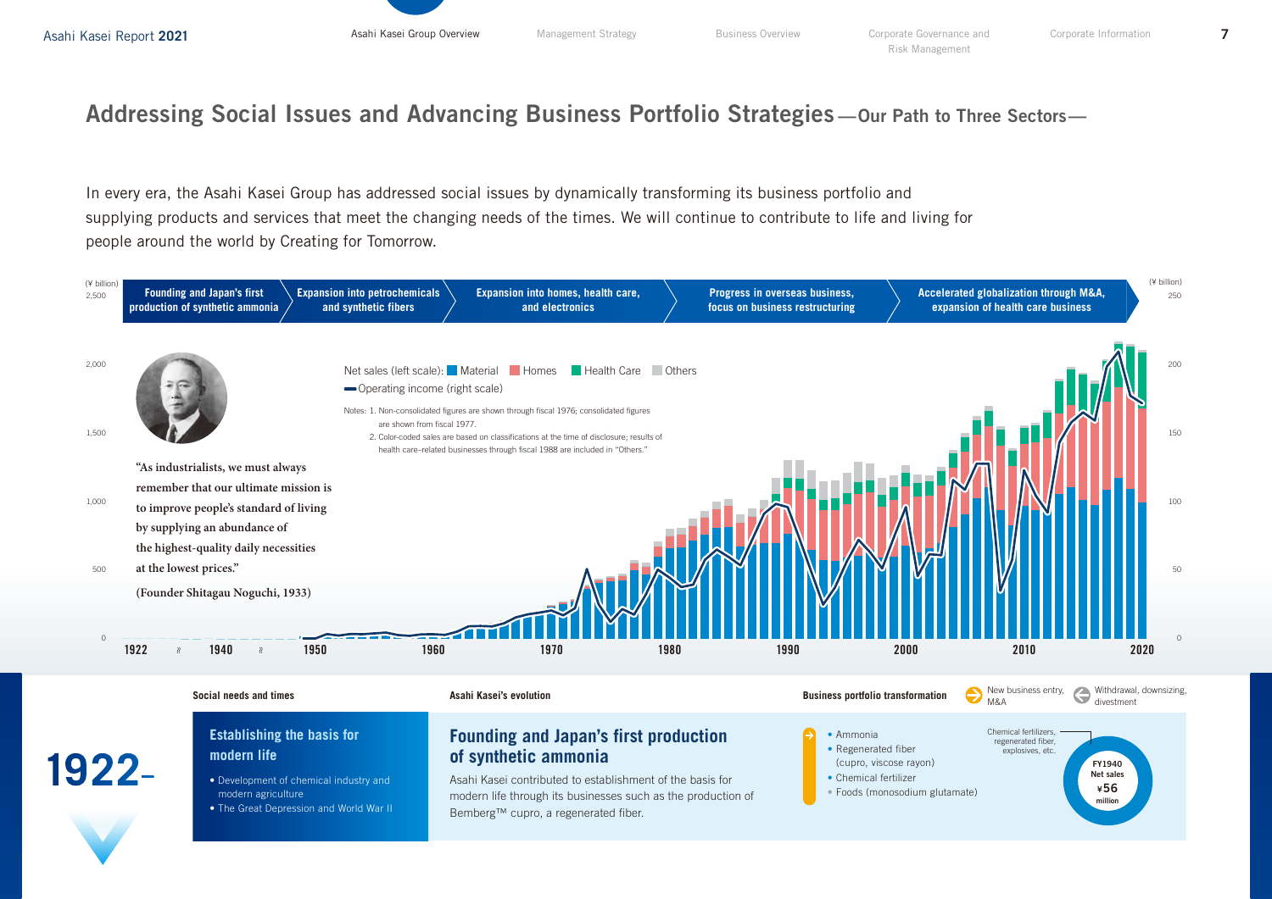## Addressing Social Issues and Advancing Business Portfolio Strategies —Our Path to Three Sectors—

In every era, the Asahi Kasei Group has addressed social issues by dynamically transforming its business portfolio and supplying products and services that meet the changing needs of the times. We will continue to contribute to life and living for people around the world by Creating for Tomorrow.